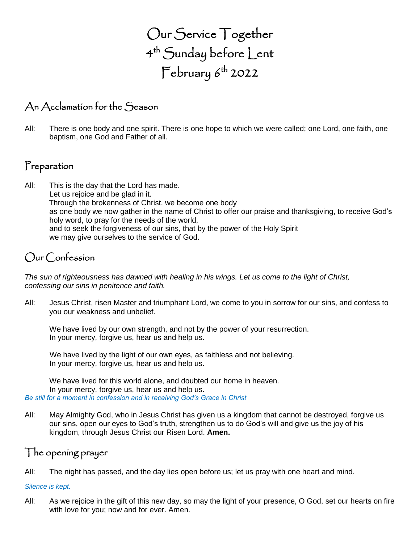Our Service Together 4 th Sunday before Lent  $\mathsf{February}\,6^{\mathsf{th}}$  2022

### An Acclamation for the Season

All: There is one body and one spirit. There is one hope to which we were called; one Lord, one faith, one baptism, one God and Father of all.

#### Preparation

All: This is the day that the Lord has made. Let us rejoice and be glad in it. Through the brokenness of Christ, we become one body as one body we now gather in the name of Christ to offer our praise and thanksgiving, to receive God's holy word, to pray for the needs of the world, and to seek the forgiveness of our sins, that by the power of the Holy Spirit we may give ourselves to the service of God.

#### Our Confession

*The sun of righteousness has dawned with healing in his wings. Let us come to the light of Christ, confessing our sins in penitence and faith.*

All: Jesus Christ, risen Master and triumphant Lord, we come to you in sorrow for our sins, and confess to you our weakness and unbelief.

We have lived by our own strength, and not by the power of your resurrection. In your mercy, forgive us, hear us and help us.

We have lived by the light of our own eyes, as faithless and not believing. In your mercy, forgive us, hear us and help us.

We have lived for this world alone, and doubted our home in heaven. In your mercy, forgive us, hear us and help us. *Be still for a moment in confession and in receiving God's Grace in Christ*

All: May Almighty God, who in Jesus Christ has given us a kingdom that cannot be destroyed, forgive us our sins, open our eyes to God's truth, strengthen us to do God's will and give us the joy of his kingdom, through Jesus Christ our Risen Lord. **Amen.**

#### The opening prayer

All: The night has passed, and the day lies open before us; let us pray with one heart and mind.

#### *Silence is kept.*

All: As we rejoice in the gift of this new day, so may the light of your presence, O God, set our hearts on fire with love for you; now and for ever. Amen.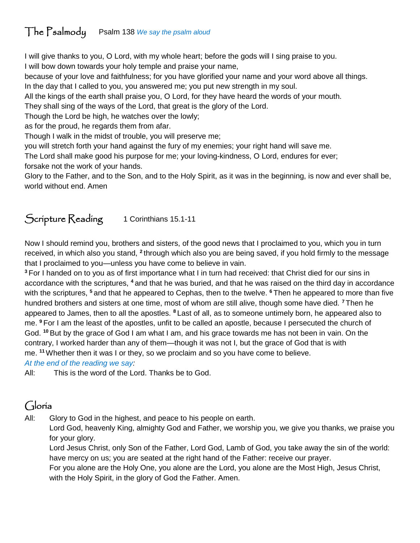## The Psalmody Psalm 138 *We say the psalm aloud*

I will give thanks to you, O Lord, with my whole heart; before the gods will I sing praise to you. I will bow down towards your holy temple and praise your name,

because of your love and faithfulness; for you have glorified your name and your word above all things. In the day that I called to you, you answered me; you put new strength in my soul.

All the kings of the earth shall praise you, O Lord, for they have heard the words of your mouth.

They shall sing of the ways of the Lord, that great is the glory of the Lord.

Though the Lord be high, he watches over the lowly;

as for the proud, he regards them from afar.

Though I walk in the midst of trouble, you will preserve me;

you will stretch forth your hand against the fury of my enemies; your right hand will save me.

The Lord shall make good his purpose for me; your loving-kindness, O Lord, endures for ever; forsake not the work of your hands.

Glory to the Father, and to the Son, and to the Holy Spirit, as it was in the beginning, is now and ever shall be, world without end. Amen

### Scripture Reading 1 Corinthians 15.1-11

Now I should remind you, brothers and sisters, of the good news that I proclaimed to you, which you in turn received, in which also you stand, <sup>2</sup> through which also you are being saved, if you hold firmly to the message that I proclaimed to you—unless you have come to believe in vain.

**<sup>3</sup>** For I handed on to you as of first importance what I in turn had received: that Christ died for our sins in accordance with the scriptures, **<sup>4</sup>** and that he was buried, and that he was raised on the third day in accordance with the scriptures, **<sup>5</sup>** and that he appeared to Cephas, then to the twelve. **<sup>6</sup>** Then he appeared to more than five hundred brothers and sisters at one time, most of whom are still alive, though some have died. **<sup>7</sup>** Then he appeared to James, then to all the apostles. **<sup>8</sup>** Last of all, as to someone untimely born, he appeared also to me. **<sup>9</sup>** For I am the least of the apostles, unfit to be called an apostle, because I persecuted the church of God. **<sup>10</sup>** But by the grace of God I am what I am, and his grace towards me has not been in vain. On the contrary, I worked harder than any of them—though it was not I, but the grace of God that is with me. **<sup>11</sup>**Whether then it was I or they, so we proclaim and so you have come to believe.

*At the end of the reading we say:*

All: This is the word of the Lord. Thanks be to God.

# Gloria

All: Glory to God in the highest, and peace to his people on earth.

Lord God, heavenly King, almighty God and Father, we worship you, we give you thanks, we praise you for your glory.

Lord Jesus Christ, only Son of the Father, Lord God, Lamb of God, you take away the sin of the world: have mercy on us; you are seated at the right hand of the Father: receive our prayer.

For you alone are the Holy One, you alone are the Lord, you alone are the Most High, Jesus Christ, with the Holy Spirit, in the glory of God the Father. Amen.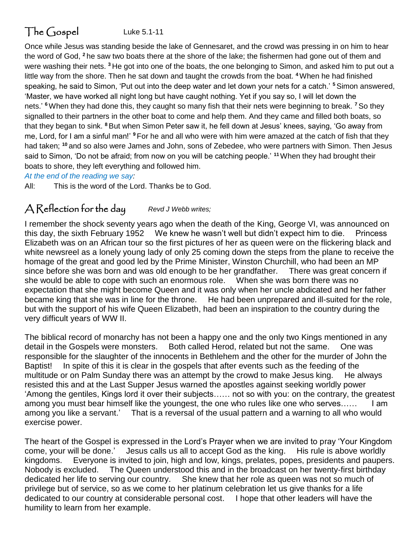# The Gospel Luke 5.1-11

Once while Jesus was standing beside the lake of Gennesaret, and the crowd was pressing in on him to hear the word of God, **<sup>2</sup>** he saw two boats there at the shore of the lake; the fishermen had gone out of them and were washing their nets. **<sup>3</sup>** He got into one of the boats, the one belonging to Simon, and asked him to put out a little way from the shore. Then he sat down and taught the crowds from the boat. **<sup>4</sup>**When he had finished speaking, he said to Simon, 'Put out into the deep water and let down your nets for a catch.' **<sup>5</sup>**Simon answered, 'Master, we have worked all night long but have caught nothing. Yet if you say so, I will let down the nets.' **<sup>6</sup>**When they had done this, they caught so many fish that their nets were beginning to break. **<sup>7</sup>** So they signalled to their partners in the other boat to come and help them. And they came and filled both boats, so that they began to sink. **<sup>8</sup>** But when Simon Peter saw it, he fell down at Jesus' knees, saying, 'Go away from me, Lord, for I am a sinful man!' **<sup>9</sup>** For he and all who were with him were amazed at the catch of fish that they had taken; **<sup>10</sup>** and so also were James and John, sons of Zebedee, who were partners with Simon. Then Jesus said to Simon, 'Do not be afraid; from now on you will be catching people.' **<sup>11</sup>**When they had brought their boats to shore, they left everything and followed him.

*At the end of the reading we say:*

All: This is the word of the Lord. Thanks be to God.

#### A Reflection for the day *Revd J Webb writes;*

I remember the shock seventy years ago when the death of the King, George VI, was announced on this day, the sixth February 1952 We knew he wasn't well but didn't expect him to die. Princess Elizabeth was on an African tour so the first pictures of her as queen were on the flickering black and white newsreel as a lonely young lady of only 25 coming down the steps from the plane to receive the homage of the great and good led by the Prime Minister, Winston Churchill, who had been an MP since before she was born and was old enough to be her grandfather. There was great concern if she would be able to cope with such an enormous role. When she was born there was no expectation that she might become Queen and it was only when her uncle abdicated and her father became king that she was in line for the throne. He had been unprepared and ill-suited for the role, but with the support of his wife Queen Elizabeth, had been an inspiration to the country during the very difficult years of WW II.

The biblical record of monarchy has not been a happy one and the only two Kings mentioned in any detail in the Gospels were monsters. Both called Herod, related but not the same. One was responsible for the slaughter of the innocents in Bethlehem and the other for the murder of John the Baptist! In spite of this it is clear in the gospels that after events such as the feeding of the multitude or on Palm Sunday there was an attempt by the crowd to make Jesus king. He always resisted this and at the Last Supper Jesus warned the apostles against seeking worldly power 'Among the gentiles, Kings lord it over their subjects…… not so with you: on the contrary, the greatest among you must bear himself like the youngest, the one who rules like one who serves...... I am among you like a servant.' That is a reversal of the usual pattern and a warning to all who would exercise power.

The heart of the Gospel is expressed in the Lord's Prayer when we are invited to pray 'Your Kingdom come, your will be done.' Jesus calls us all to accept God as the king. His rule is above worldly kingdoms. Everyone is invited to join, high and low, kings, prelates, popes, presidents and paupers. Nobody is excluded. The Queen understood this and in the broadcast on her twenty-first birthday dedicated her life to serving our country. She knew that her role as queen was not so much of privilege but of service, so as we come to her platinum celebration let us give thanks for a life dedicated to our country at considerable personal cost. I hope that other leaders will have the humility to learn from her example.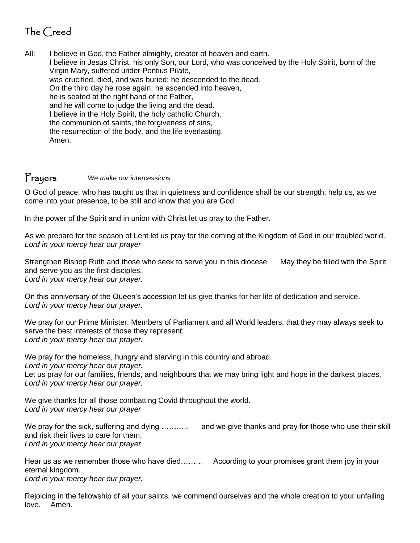# The Creed

All: I believe in God, the Father almighty, creator of heaven and earth. I believe in Jesus Christ, his only Son, our Lord, who was conceived by the Holy Spirit, born of the Virgin Mary, suffered under Pontius Pilate, was crucified, died, and was buried; he descended to the dead. On the third day he rose again; he ascended into heaven, he is seated at the right hand of the Father, and he will come to judge the living and the dead. I believe in the Holy Spirit, the holy catholic Church, the communion of saints, the forgiveness of sins, the resurrection of the body, and the life everlasting. Amen.

#### Prayers *We make our intercessions*

O God of peace, who has taught us that in quietness and confidence shall be our strength; help us, as we come into your presence, to be still and know that you are God.

In the power of the Spirit and in union with Christ let us pray to the Father.

As we prepare for the season of Lent let us pray for the coming of the Kingdom of God in our troubled world. *Lord in your mercy hear our prayer*

Strengthen Bishop Ruth and those who seek to serve you in this diocese May they be filled with the Spirit and serve you as the first disciples. *Lord in your mercy hear our prayer.* 

On this anniversary of the Queen's accession let us give thanks for her life of dedication and service. *Lord in your mercy hear our prayer.*

We pray for our Prime Minister, Members of Parliament and all World leaders, that they may always seek to serve the best interests of those they represent. *Lord in your mercy hear our prayer.*

We pray for the homeless, hungry and starving in this country and abroad. *Lord in your mercy hear our prayer.*  Let us pray for our families, friends, and neighbours that we may bring light and hope in the darkest places. *Lord in your mercy hear our prayer.*

We give thanks for all those combatting Covid throughout the world. *Lord in your mercy hear our prayer*

We pray for the sick, suffering and dying ……….. and we give thanks and pray for those who use their skill and risk their lives to care for them. *Lord in your mercy hear our prayer*

Hear us as we remember those who have died……… According to your promises grant them joy in your eternal kingdom.

*Lord in your mercy hear our prayer.*

Rejoicing in the fellowship of all your saints, we commend ourselves and the whole creation to your unfailing love. Amen.